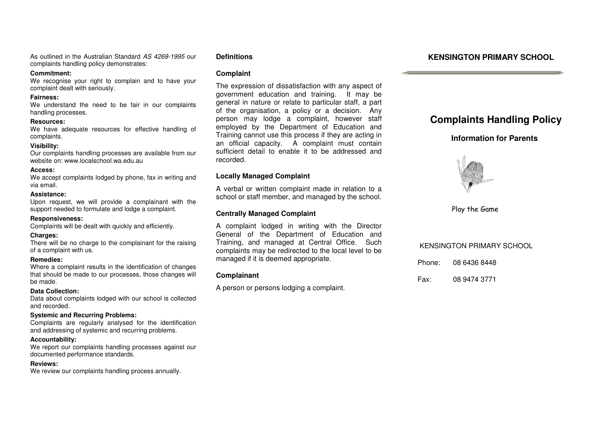As outlined in the Australian Standard AS 4269-1995 our complaints handling policy demonstrates:

#### **Commitment:**

 We recognise your right to complain and to have your complaint dealt with seriously.

### **Fairness:**

 We understand the need to be fair in our complaintshandling processes.

### **Resources:**

 We have adequate resources for effective handling of complaints.

### **Visibility:**

 Our complaints handling processes are available from our website on: www.localschool.wa.edu.au

### **Access:**

 We accept complaints lodged by phone, fax in writing and via email.

### **Assistance:**

 Upon request, we will provide a complainant with the support needed to formulate and lodge a complaint.

### **Responsiveness:**

Complaints will be dealt with quickly and efficiently.

# **Charges:**

 There will be no charge to the complainant for the raising of a complaint with us.

### **Remedies:**

 Where a complaint results in the identification of changes that should be made to our processes, those changes will be made.

### **Data Collection:**

 Data about complaints lodged with our school is collected and recorded.

# **Systemic and Recurring Problems:**

 Complaints are regularly analysed for the identification and addressing of systemic and recurring problems.

# **Accountability:**

 We report our complaints handling processes against our documented performance standards.

# **Reviews:**

We review our complaints handling process annually.

# **Definitions**

# **Complaint**

The expression of dissatisfaction with any aspect of government education and training. It may be general in nature or relate to particular staff, a part of the organisation, a policy or a decision. Any person may lodge a complaint, however staff employed by the Department of Education and Training cannot use this process if they are acting in an official capacity. A complaint must contain sufficient detail to enable it to be addressed and recorded.

# **Locally Managed Complaint**

A verbal or written complaint made in relation to aschool or staff member, and managed by the school.

# **Centrally Managed Complaint**

A complaint lodged in writing with the Director General of the Department of Education and Training, and managed at Central Office. Such complaints may be redirected to the local level to be managed if it is deemed appropriate.

# **Complainant**

A person or persons lodging a complaint.

# **KENSINGTON PRIMARY SCHOOL**

# **Complaints Handling Policy**

# **Information for Parents**



Play the Game

# KENSINGTON PRIMARY SCHOOL

| Phone: | 08 6436 8448 |
|--------|--------------|
| Fax:   | 08 9474 3771 |